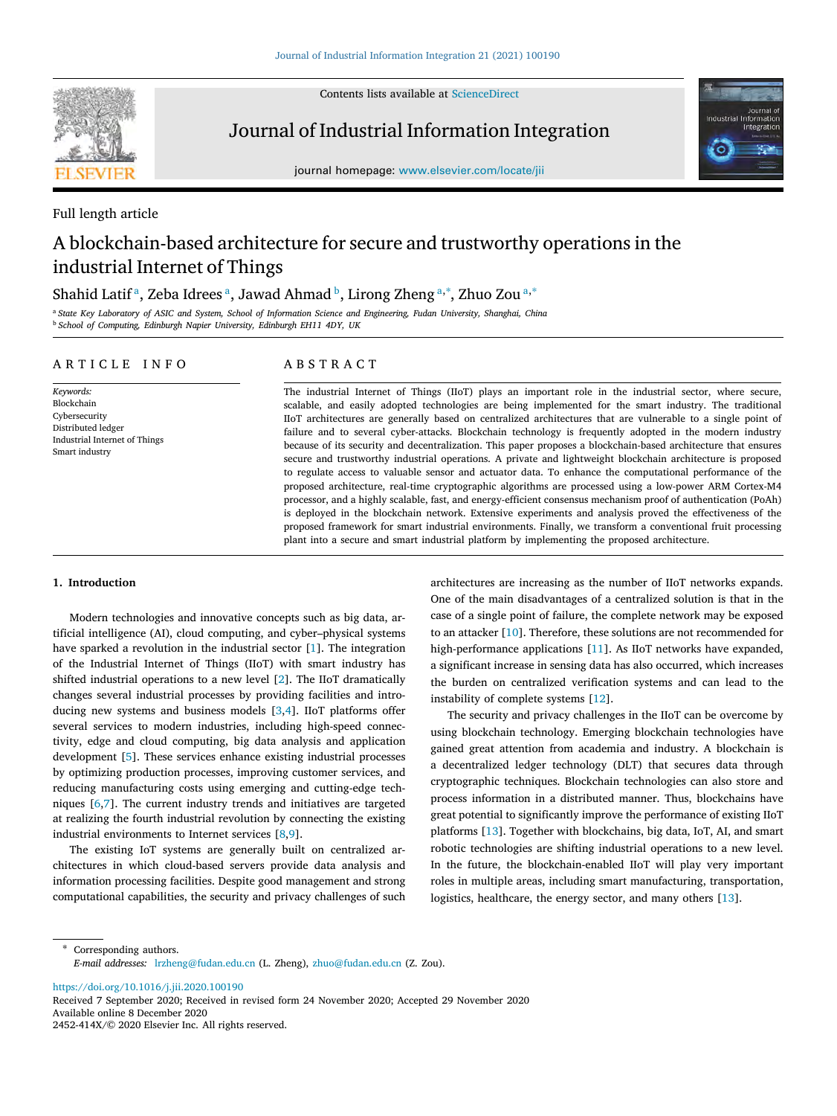

Contents lists available at [ScienceDirect](http://www.elsevier.com/locate/jii)

Journal of Industrial Information Integration



journal homepage: [www.elsevier.com/locate/jii](http://www.elsevier.com/locate/jii)

# Full length article

# A blockchain-based architecture for secure and trustworthy operations in the industrial Internet of Things

# Sh[a](#page-0-0)hid Latif <sup>a</sup>, Ze[b](#page-0-1)a Idrees <sup>a</sup>, Jawad Ahmad <sup>b</sup>, Lirong Zheng <sup>a,\*</sup>, Zhuo Zou <sup>a,\*</sup>

<span id="page-0-1"></span><span id="page-0-0"></span><sup>a</sup> *State Key Laboratory of ASIC and System, School of Information Science and Engineering, Fudan University, Shanghai, China* <sup>b</sup> *School of Computing, Edinburgh Napier University, Edinburgh EH11 4DY, UK*

# A R T I C L E I N F O

*Keywords:* Blockchain Cybersecurity Distributed ledger Industrial Internet of Things Smart industry

# A B S T R A C T

The industrial Internet of Things (IIoT) plays an important role in the industrial sector, where secure, scalable, and easily adopted technologies are being implemented for the smart industry. The traditional IIoT architectures are generally based on centralized architectures that are vulnerable to a single point of failure and to several cyber-attacks. Blockchain technology is frequently adopted in the modern industry because of its security and decentralization. This paper proposes a blockchain-based architecture that ensures secure and trustworthy industrial operations. A private and lightweight blockchain architecture is proposed to regulate access to valuable sensor and actuator data. To enhance the computational performance of the proposed architecture, real-time cryptographic algorithms are processed using a low-power ARM Cortex-M4 processor, and a highly scalable, fast, and energy-efficient consensus mechanism proof of authentication (PoAh) is deployed in the blockchain network. Extensive experiments and analysis proved the effectiveness of the proposed framework for smart industrial environments. Finally, we transform a conventional fruit processing plant into a secure and smart industrial platform by implementing the proposed architecture.

# **1. Introduction**

Modern technologies and innovative concepts such as big data, artificial intelligence (AI), cloud computing, and cyber–physical systems have sparked a revolution in the industrial sector [[1](#page-11-0)]. The integration of the Industrial Internet of Things (IIoT) with smart industry has shifted industrial operations to a new level [[2\]](#page-11-1). The IIoT dramatically changes several industrial processes by providing facilities and introducing new systems and business models [\[3,](#page-11-2)[4](#page-11-3)]. IIoT platforms offer several services to modern industries, including high-speed connectivity, edge and cloud computing, big data analysis and application development [[5\]](#page-11-4). These services enhance existing industrial processes by optimizing production processes, improving customer services, and reducing manufacturing costs using emerging and cutting-edge techniques [\[6,](#page-11-5)[7](#page-11-6)]. The current industry trends and initiatives are targeted at realizing the fourth industrial revolution by connecting the existing industrial environments to Internet services [[8](#page-11-7),[9](#page-11-8)].

The existing IoT systems are generally built on centralized architectures in which cloud-based servers provide data analysis and information processing facilities. Despite good management and strong computational capabilities, the security and privacy challenges of such

architectures are increasing as the number of IIoT networks expands. One of the main disadvantages of a centralized solution is that in the case of a single point of failure, the complete network may be exposed to an attacker [\[10](#page-11-9)]. Therefore, these solutions are not recommended for high-performance applications [[11\]](#page-11-10). As IIoT networks have expanded, a significant increase in sensing data has also occurred, which increases the burden on centralized verification systems and can lead to the instability of complete systems [\[12](#page-11-11)].

The security and privacy challenges in the IIoT can be overcome by using blockchain technology. Emerging blockchain technologies have gained great attention from academia and industry. A blockchain is a decentralized ledger technology (DLT) that secures data through cryptographic techniques. Blockchain technologies can also store and process information in a distributed manner. Thus, blockchains have great potential to significantly improve the performance of existing IIoT platforms [[13\]](#page-11-12). Together with blockchains, big data, IoT, AI, and smart robotic technologies are shifting industrial operations to a new level. In the future, the blockchain-enabled IIoT will play very important roles in multiple areas, including smart manufacturing, transportation, logistics, healthcare, the energy sector, and many others [[13\]](#page-11-12).

<span id="page-0-2"></span>Corresponding authors. *E-mail addresses:* [lrzheng@fudan.edu.cn](mailto:lrzheng@fudan.edu.cn) (L. Zheng), [zhuo@fudan.edu.cn](mailto:zhuo@fudan.edu.cn) (Z. Zou).

<https://doi.org/10.1016/j.jii.2020.100190>

Available online 8 December 2020 2452-414X/© 2020 Elsevier Inc. All rights reserved. Received 7 September 2020; Received in revised form 24 November 2020; Accepted 29 November 2020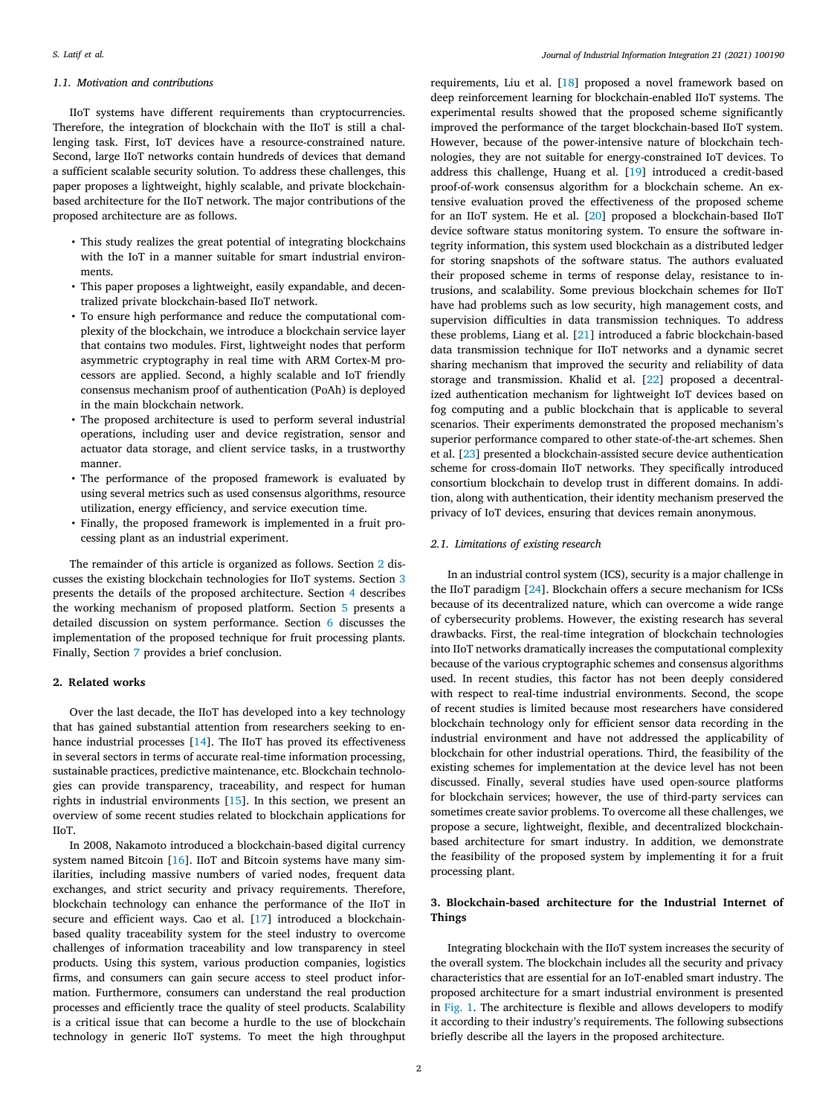# *1.1. Motivation and contributions*

IIoT systems have different requirements than cryptocurrencies. Therefore, the integration of blockchain with the IIoT is still a challenging task. First, IoT devices have a resource-constrained nature. Second, large IIoT networks contain hundreds of devices that demand a sufficient scalable security solution. To address these challenges, this paper proposes a lightweight, highly scalable, and private blockchainbased architecture for the IIoT network. The major contributions of the proposed architecture are as follows.

- This study realizes the great potential of integrating blockchains with the IoT in a manner suitable for smart industrial environments.
- This paper proposes a lightweight, easily expandable, and decentralized private blockchain-based IIoT network.
- To ensure high performance and reduce the computational complexity of the blockchain, we introduce a blockchain service layer that contains two modules. First, lightweight nodes that perform asymmetric cryptography in real time with ARM Cortex-M processors are applied. Second, a highly scalable and IoT friendly consensus mechanism proof of authentication (PoAh) is deployed in the main blockchain network.
- The proposed architecture is used to perform several industrial operations, including user and device registration, sensor and actuator data storage, and client service tasks, in a trustworthy manner.
- The performance of the proposed framework is evaluated by using several metrics such as used consensus algorithms, resource utilization, energy efficiency, and service execution time.
- Finally, the proposed framework is implemented in a fruit processing plant as an industrial experiment.

The remainder of this article is organized as follows. Section [2](#page-1-0) discusses the existing blockchain technologies for IIoT systems. Section [3](#page-1-1) presents the details of the proposed architecture. Section [4](#page-3-0) describes the working mechanism of proposed platform. Section [5](#page-5-0) presents a detailed discussion on system performance. Section [6](#page-10-0) discusses the implementation of the proposed technique for fruit processing plants. Finally, Section [7](#page-11-13) provides a brief conclusion.

# **2. Related works**

<span id="page-1-0"></span>Over the last decade, the IIoT has developed into a key technology that has gained substantial attention from researchers seeking to enhance industrial processes [[14\]](#page-11-14). The IIoT has proved its effectiveness in several sectors in terms of accurate real-time information processing, sustainable practices, predictive maintenance, etc. Blockchain technologies can provide transparency, traceability, and respect for human rights in industrial environments [[15\]](#page-11-15). In this section, we present an overview of some recent studies related to blockchain applications for IIoT.

In 2008, Nakamoto introduced a blockchain-based digital currency system named Bitcoin [[16](#page-11-16)]. IIoT and Bitcoin systems have many similarities, including massive numbers of varied nodes, frequent data exchanges, and strict security and privacy requirements. Therefore, blockchain technology can enhance the performance of the IIoT in secure and efficient ways. Cao et al. [\[17](#page-11-17)] introduced a blockchainbased quality traceability system for the steel industry to overcome challenges of information traceability and low transparency in steel products. Using this system, various production companies, logistics firms, and consumers can gain secure access to steel product information. Furthermore, consumers can understand the real production processes and efficiently trace the quality of steel products. Scalability is a critical issue that can become a hurdle to the use of blockchain technology in generic IIoT systems. To meet the high throughput

requirements, Liu et al. [[18\]](#page-11-18) proposed a novel framework based on deep reinforcement learning for blockchain-enabled IIoT systems. The experimental results showed that the proposed scheme significantly improved the performance of the target blockchain-based IIoT system. However, because of the power-intensive nature of blockchain technologies, they are not suitable for energy-constrained IoT devices. To address this challenge, Huang et al. [[19\]](#page-11-19) introduced a credit-based proof-of-work consensus algorithm for a blockchain scheme. An extensive evaluation proved the effectiveness of the proposed scheme for an IIoT system. He et al. [\[20](#page-11-20)] proposed a blockchain-based IIoT device software status monitoring system. To ensure the software integrity information, this system used blockchain as a distributed ledger for storing snapshots of the software status. The authors evaluated their proposed scheme in terms of response delay, resistance to intrusions, and scalability. Some previous blockchain schemes for IIoT have had problems such as low security, high management costs, and supervision difficulties in data transmission techniques. To address these problems, Liang et al. [[21\]](#page-11-21) introduced a fabric blockchain-based data transmission technique for IIoT networks and a dynamic secret sharing mechanism that improved the security and reliability of data storage and transmission. Khalid et al. [\[22](#page-11-22)] proposed a decentralized authentication mechanism for lightweight IoT devices based on fog computing and a public blockchain that is applicable to several scenarios. Their experiments demonstrated the proposed mechanism's superior performance compared to other state-of-the-art schemes. Shen et al. [[23\]](#page-11-23) presented a blockchain-assisted secure device authentication scheme for cross-domain IIoT networks. They specifically introduced consortium blockchain to develop trust in different domains. In addition, along with authentication, their identity mechanism preserved the privacy of IoT devices, ensuring that devices remain anonymous.

# *2.1. Limitations of existing research*

In an industrial control system (ICS), security is a major challenge in the IIoT paradigm [\[24](#page-11-24)]. Blockchain offers a secure mechanism for ICSs because of its decentralized nature, which can overcome a wide range of cybersecurity problems. However, the existing research has several drawbacks. First, the real-time integration of blockchain technologies into IIoT networks dramatically increases the computational complexity because of the various cryptographic schemes and consensus algorithms used. In recent studies, this factor has not been deeply considered with respect to real-time industrial environments. Second, the scope of recent studies is limited because most researchers have considered blockchain technology only for efficient sensor data recording in the industrial environment and have not addressed the applicability of blockchain for other industrial operations. Third, the feasibility of the existing schemes for implementation at the device level has not been discussed. Finally, several studies have used open-source platforms for blockchain services; however, the use of third-party services can sometimes create savior problems. To overcome all these challenges, we propose a secure, lightweight, flexible, and decentralized blockchainbased architecture for smart industry. In addition, we demonstrate the feasibility of the proposed system by implementing it for a fruit processing plant.

# **3. Blockchain-based architecture for the Industrial Internet of Things**

<span id="page-1-1"></span>Integrating blockchain with the IIoT system increases the security of the overall system. The blockchain includes all the security and privacy characteristics that are essential for an IoT-enabled smart industry. The proposed architecture for a smart industrial environment is presented in [Fig. 1.](#page-2-0) The architecture is flexible and allows developers to modify it according to their industry's requirements. The following subsections briefly describe all the layers in the proposed architecture.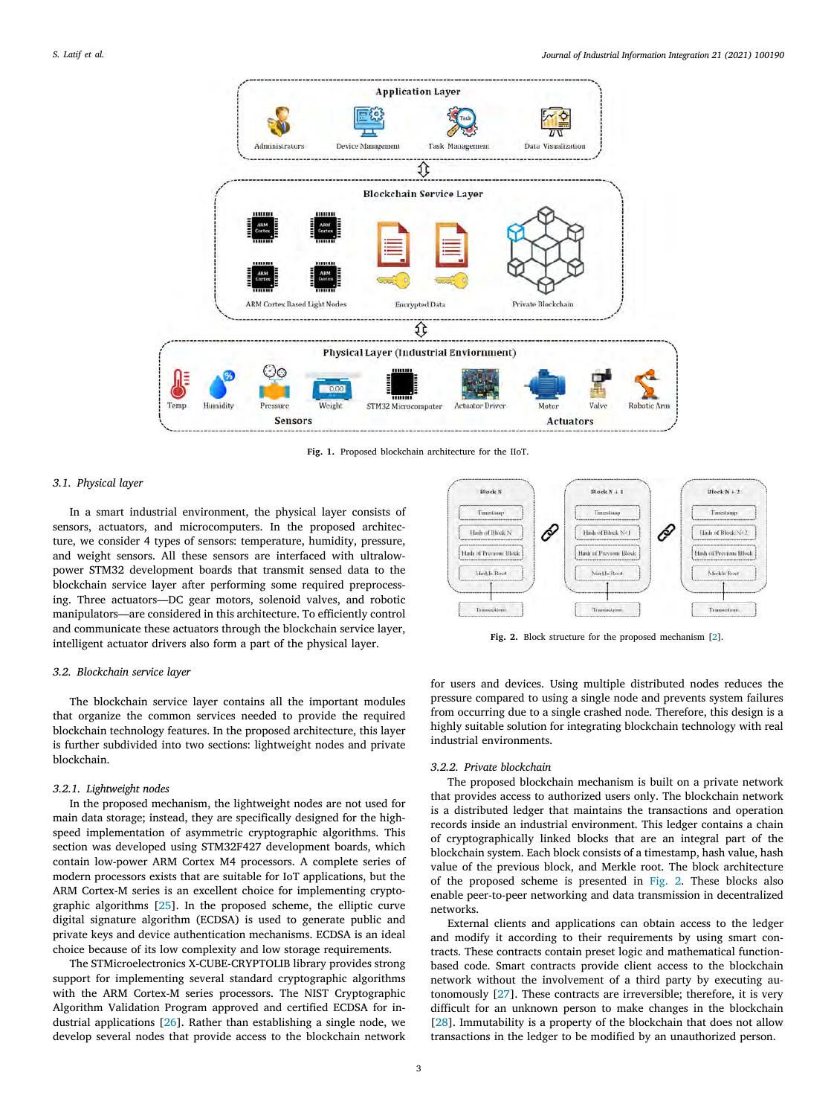

**Fig. 1.** Proposed blockchain architecture for the IIoT.

## <span id="page-2-0"></span>*3.1. Physical layer*

In a smart industrial environment, the physical layer consists of sensors, actuators, and microcomputers. In the proposed architecture, we consider 4 types of sensors: temperature, humidity, pressure, and weight sensors. All these sensors are interfaced with ultralowpower STM32 development boards that transmit sensed data to the blockchain service layer after performing some required preprocessing. Three actuators—DC gear motors, solenoid valves, and robotic manipulators—are considered in this architecture. To efficiently control and communicate these actuators through the blockchain service layer, intelligent actuator drivers also form a part of the physical layer.

# *3.2. Blockchain service layer*

The blockchain service layer contains all the important modules that organize the common services needed to provide the required blockchain technology features. In the proposed architecture, this layer is further subdivided into two sections: lightweight nodes and private blockchain.

# *3.2.1. Lightweight nodes*

In the proposed mechanism, the lightweight nodes are not used for main data storage; instead, they are specifically designed for the highspeed implementation of asymmetric cryptographic algorithms. This section was developed using STM32F427 development boards, which contain low-power ARM Cortex M4 processors. A complete series of modern processors exists that are suitable for IoT applications, but the ARM Cortex-M series is an excellent choice for implementing cryptographic algorithms [[25\]](#page-11-25). In the proposed scheme, the elliptic curve digital signature algorithm (ECDSA) is used to generate public and private keys and device authentication mechanisms. ECDSA is an ideal choice because of its low complexity and low storage requirements.

The STMicroelectronics X-CUBE-CRYPTOLIB library provides strong support for implementing several standard cryptographic algorithms with the ARM Cortex-M series processors. The NIST Cryptographic Algorithm Validation Program approved and certified ECDSA for industrial applications [[26\]](#page-11-26). Rather than establishing a single node, we develop several nodes that provide access to the blockchain network



**Fig. 2.** Block structure for the proposed mechanism [[2\]](#page-11-1).

<span id="page-2-1"></span>for users and devices. Using multiple distributed nodes reduces the pressure compared to using a single node and prevents system failures from occurring due to a single crashed node. Therefore, this design is a highly suitable solution for integrating blockchain technology with real industrial environments.

#### *3.2.2. Private blockchain*

The proposed blockchain mechanism is built on a private network that provides access to authorized users only. The blockchain network is a distributed ledger that maintains the transactions and operation records inside an industrial environment. This ledger contains a chain of cryptographically linked blocks that are an integral part of the blockchain system. Each block consists of a timestamp, hash value, hash value of the previous block, and Merkle root. The block architecture of the proposed scheme is presented in [Fig. 2.](#page-2-1) These blocks also enable peer-to-peer networking and data transmission in decentralized networks.

External clients and applications can obtain access to the ledger and modify it according to their requirements by using smart contracts. These contracts contain preset logic and mathematical functionbased code. Smart contracts provide client access to the blockchain network without the involvement of a third party by executing autonomously [\[27](#page-11-27)]. These contracts are irreversible; therefore, it is very difficult for an unknown person to make changes in the blockchain [[28\]](#page-11-28). Immutability is a property of the blockchain that does not allow transactions in the ledger to be modified by an unauthorized person.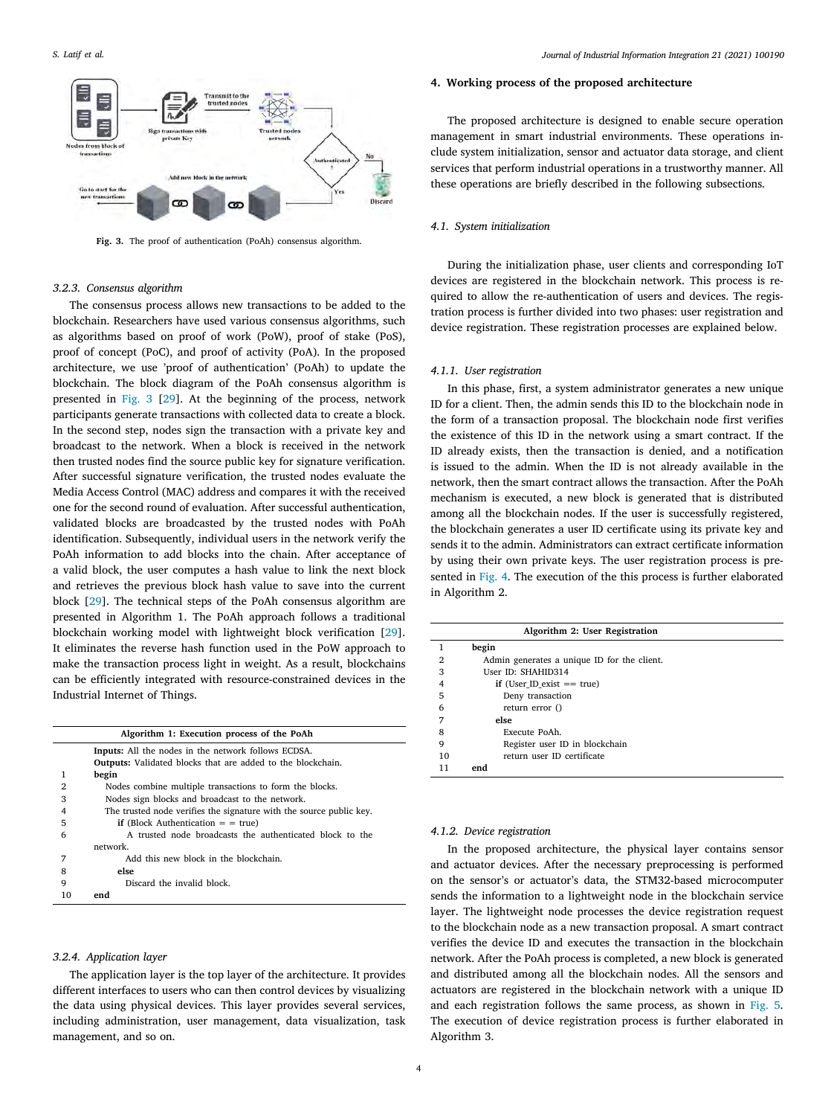

<span id="page-3-1"></span>**Fig. 3.** The proof of authentication (PoAh) consensus algorithm.

#### *3.2.3. Consensus algorithm*

The consensus process allows new transactions to be added to the blockchain. Researchers have used various consensus algorithms, such as algorithms based on proof of work (PoW), proof of stake (PoS), proof of concept (PoC), and proof of activity (PoA). In the proposed architecture, we use 'proof of authentication' (PoAh) to update the blockchain. The block diagram of the PoAh consensus algorithm is presented in [Fig. 3](#page-3-1) [[29\]](#page-11-29). At the beginning of the process, network participants generate transactions with collected data to create a block. In the second step, nodes sign the transaction with a private key and broadcast to the network. When a block is received in the network then trusted nodes find the source public key for signature verification. After successful signature verification, the trusted nodes evaluate the Media Access Control (MAC) address and compares it with the received one for the second round of evaluation. After successful authentication, validated blocks are broadcasted by the trusted nodes with PoAh identification. Subsequently, individual users in the network verify the PoAh information to add blocks into the chain. After acceptance of a valid block, the user computes a hash value to link the next block and retrieves the previous block hash value to save into the current block [\[29](#page-11-29)]. The technical steps of the PoAh consensus algorithm are presented in Algorithm 1. The PoAh approach follows a traditional blockchain working model with lightweight block verification [[29\]](#page-11-29). It eliminates the reverse hash function used in the PoW approach to make the transaction process light in weight. As a result, blockchains can be efficiently integrated with resource-constrained devices in the Industrial Internet of Things.

| Algorithm 1: Execution process of the PoAh |                                                                     |  |  |  |
|--------------------------------------------|---------------------------------------------------------------------|--|--|--|
|                                            | <b>Inputs:</b> All the nodes in the network follows ECDSA.          |  |  |  |
|                                            | <b>Outputs:</b> Validated blocks that are added to the blockchain.  |  |  |  |
|                                            | begin                                                               |  |  |  |
| $\overline{2}$                             | Nodes combine multiple transactions to form the blocks.             |  |  |  |
| 3                                          | Nodes sign blocks and broadcast to the network.                     |  |  |  |
|                                            | The trusted node verifies the signature with the source public key. |  |  |  |
| 5                                          | <b>if</b> (Block Authentication $=$ = true)                         |  |  |  |
| 6                                          | A trusted node broadcasts the authenticated block to the            |  |  |  |
|                                            | network.                                                            |  |  |  |
| 7                                          | Add this new block in the blockchain.                               |  |  |  |
| 8                                          | else                                                                |  |  |  |
| 9                                          | Discard the invalid block.                                          |  |  |  |
| 10                                         | end                                                                 |  |  |  |

## *3.2.4. Application layer*

The application layer is the top layer of the architecture. It provides different interfaces to users who can then control devices by visualizing the data using physical devices. This layer provides several services, including administration, user management, data visualization, task management, and so on.

### **4. Working process of the proposed architecture**

<span id="page-3-0"></span>The proposed architecture is designed to enable secure operation management in smart industrial environments. These operations include system initialization, sensor and actuator data storage, and client services that perform industrial operations in a trustworthy manner. All these operations are briefly described in the following subsections.

# *4.1. System initialization*

During the initialization phase, user clients and corresponding IoT devices are registered in the blockchain network. This process is required to allow the re-authentication of users and devices. The registration process is further divided into two phases: user registration and device registration. These registration processes are explained below.

# *4.1.1. User registration*

In this phase, first, a system administrator generates a new unique ID for a client. Then, the admin sends this ID to the blockchain node in the form of a transaction proposal. The blockchain node first verifies the existence of this ID in the network using a smart contract. If the ID already exists, then the transaction is denied, and a notification is issued to the admin. When the ID is not already available in the network, then the smart contract allows the transaction. After the PoAh mechanism is executed, a new block is generated that is distributed among all the blockchain nodes. If the user is successfully registered, the blockchain generates a user ID certificate using its private key and sends it to the admin. Administrators can extract certificate information by using their own private keys. The user registration process is presented in [Fig. 4](#page-4-0). The execution of the this process is further elaborated in Algorithm 2.

| Algorithm 2: User Registration |                                             |  |  |  |
|--------------------------------|---------------------------------------------|--|--|--|
|                                | begin                                       |  |  |  |
| 2                              | Admin generates a unique ID for the client. |  |  |  |
| 3                              | User ID: SHAHID314                          |  |  |  |
|                                | if (User ID exist $==$ true)                |  |  |  |
| 5                              | Deny transaction                            |  |  |  |
| 6                              | return error $()$                           |  |  |  |
|                                | else                                        |  |  |  |
| 8                              | Execute PoAh.                               |  |  |  |
| 9                              | Register user ID in blockchain              |  |  |  |
| 10                             | return user ID certificate                  |  |  |  |
| 11                             | end                                         |  |  |  |

# *4.1.2. Device registration*

In the proposed architecture, the physical layer contains sensor and actuator devices. After the necessary preprocessing is performed on the sensor's or actuator's data, the STM32-based microcomputer sends the information to a lightweight node in the blockchain service layer. The lightweight node processes the device registration request to the blockchain node as a new transaction proposal. A smart contract verifies the device ID and executes the transaction in the blockchain network. After the PoAh process is completed, a new block is generated and distributed among all the blockchain nodes. All the sensors and actuators are registered in the blockchain network with a unique ID and each registration follows the same process, as shown in [Fig. 5](#page-4-1). The execution of device registration process is further elaborated in Algorithm 3.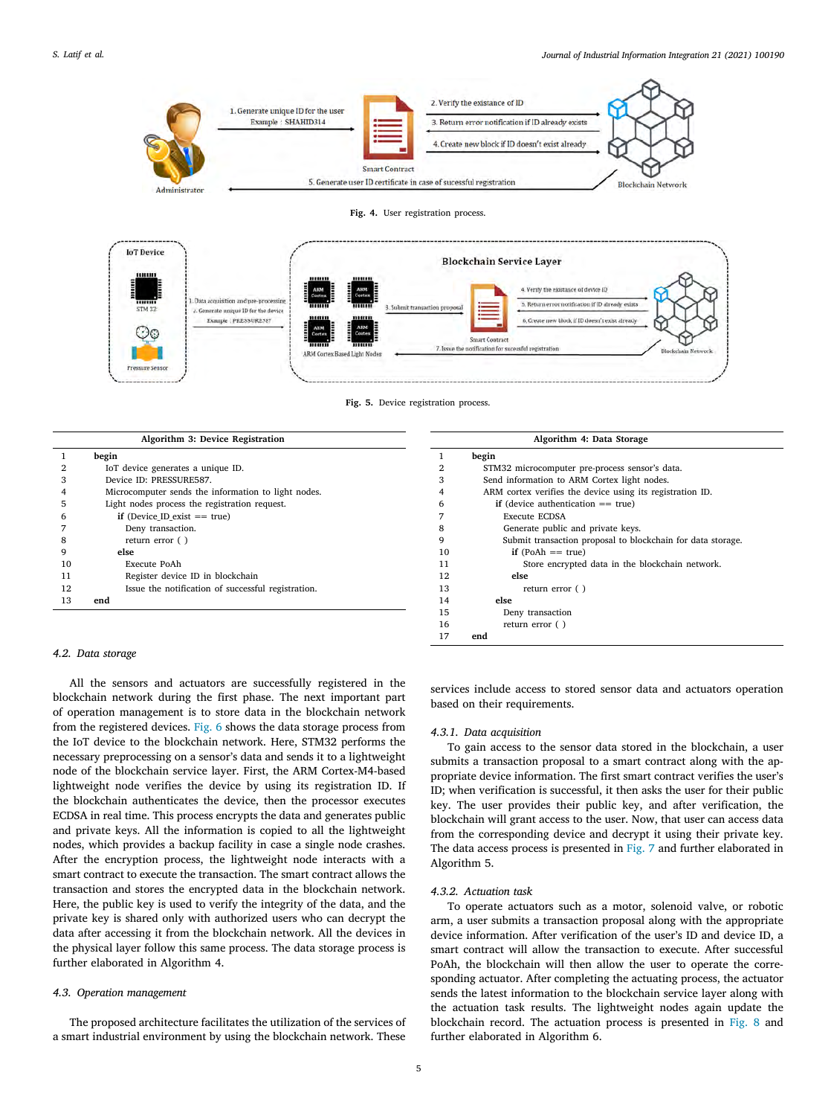

**Fig. 4.** User registration process.

<span id="page-4-0"></span>

**Fig. 5.** Device registration process.

<span id="page-4-1"></span>

| Algorithm 3: Device Registration |                                                     |  |  |
|----------------------------------|-----------------------------------------------------|--|--|
|                                  | begin                                               |  |  |
|                                  | IoT device generates a unique ID.                   |  |  |
| з                                | Device ID: PRESSURE587.                             |  |  |
|                                  | Microcomputer sends the information to light nodes. |  |  |
| 5                                | Light nodes process the registration request.       |  |  |
|                                  | if (Device ID exist $==$ true)                      |  |  |
|                                  | Deny transaction.                                   |  |  |
| 8                                | return error $( )$                                  |  |  |
| 9                                | else                                                |  |  |
| 10                               | Execute PoAh                                        |  |  |
| 11                               | Register device ID in blockchain                    |  |  |
| 12                               | Issue the notification of successful registration.  |  |  |
| 13                               | end                                                 |  |  |

# *4.2. Data storage*

All the sensors and actuators are successfully registered in the blockchain network during the first phase. The next important part of operation management is to store data in the blockchain network from the registered devices. [Fig. 6](#page-5-1) shows the data storage process from the IoT device to the blockchain network. Here, STM32 performs the necessary preprocessing on a sensor's data and sends it to a lightweight node of the blockchain service layer. First, the ARM Cortex-M4-based lightweight node verifies the device by using its registration ID. If the blockchain authenticates the device, then the processor executes ECDSA in real time. This process encrypts the data and generates public and private keys. All the information is copied to all the lightweight nodes, which provides a backup facility in case a single node crashes. After the encryption process, the lightweight node interacts with a smart contract to execute the transaction. The smart contract allows the transaction and stores the encrypted data in the blockchain network. Here, the public key is used to verify the integrity of the data, and the private key is shared only with authorized users who can decrypt the data after accessing it from the blockchain network. All the devices in the physical layer follow this same process. The data storage process is further elaborated in Algorithm 4.

### *4.3. Operation management*

The proposed architecture facilitates the utilization of the services of a smart industrial environment by using the blockchain network. These

|    | Algorithm 4: Data Storage                                   |
|----|-------------------------------------------------------------|
| 1  | begin                                                       |
| 2  | STM32 microcomputer pre-process sensor's data.              |
| 3  | Send information to ARM Cortex light nodes.                 |
| 4  | ARM cortex verifies the device using its registration ID.   |
| 6  | if (device authentication $==$ true)                        |
| 7  | Execute ECDSA                                               |
| 8  | Generate public and private keys.                           |
| 9  | Submit transaction proposal to blockchain for data storage. |
| 10 | if $(PoAh == true)$                                         |
| 11 | Store encrypted data in the blockchain network.             |
| 12 | else                                                        |
| 13 | return error $( )$                                          |
| 14 | else                                                        |
| 15 | Deny transaction                                            |
| 16 | return error $( )$                                          |
| 17 | end                                                         |

services include access to stored sensor data and actuators operation based on their requirements.

### *4.3.1. Data acquisition*

To gain access to the sensor data stored in the blockchain, a user submits a transaction proposal to a smart contract along with the appropriate device information. The first smart contract verifies the user's ID; when verification is successful, it then asks the user for their public key. The user provides their public key, and after verification, the blockchain will grant access to the user. Now, that user can access data from the corresponding device and decrypt it using their private key. The data access process is presented in [Fig. 7](#page-5-2) and further elaborated in Algorithm 5.

# *4.3.2. Actuation task*

To operate actuators such as a motor, solenoid valve, or robotic arm, a user submits a transaction proposal along with the appropriate device information. After verification of the user's ID and device ID, a smart contract will allow the transaction to execute. After successful PoAh, the blockchain will then allow the user to operate the corresponding actuator. After completing the actuating process, the actuator sends the latest information to the blockchain service layer along with the actuation task results. The lightweight nodes again update the blockchain record. The actuation process is presented in [Fig. 8](#page-5-3) and further elaborated in Algorithm 6.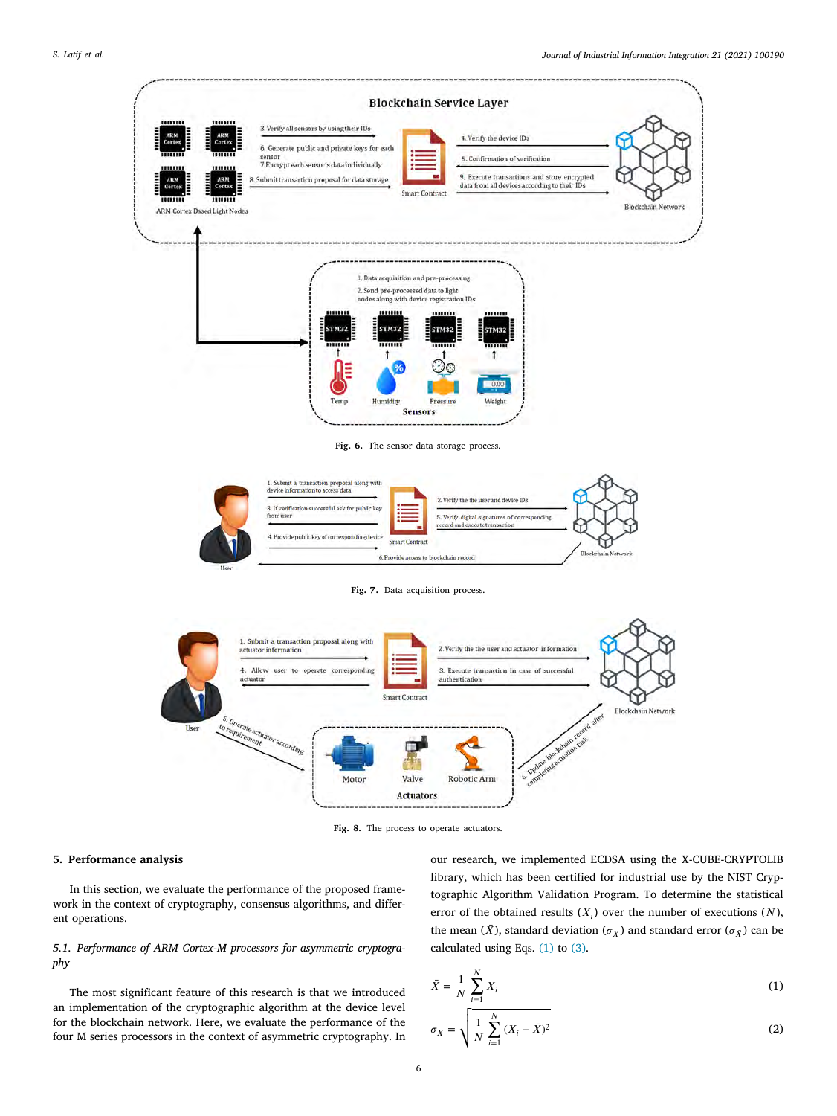

Fig. 6. The sensor data storage process.

<span id="page-5-1"></span>

Fig. 7. Data acquisition process.

<span id="page-5-2"></span>

**Fig. 8.** The process to operate actuators.

### <span id="page-5-3"></span>**5. Performance analysis**

<span id="page-5-0"></span>In this section, we evaluate the performance of the proposed framework in the context of cryptography, consensus algorithms, and different operations.

# *5.1. Performance of ARM Cortex-M processors for asymmetric cryptography*

The most significant feature of this research is that we introduced an implementation of the cryptographic algorithm at the device level for the blockchain network. Here, we evaluate the performance of the four M series processors in the context of asymmetric cryptography. In our research, we implemented ECDSA using the X-CUBE-CRYPTOLIB library, which has been certified for industrial use by the NIST Cryptographic Algorithm Validation Program. To determine the statistical error of the obtained results  $(X_i)$  over the number of executions  $(N)$ , the mean  $(\bar{X})$ , standard deviation  $(\sigma_X)$  and standard error  $(\sigma_{\bar{X}})$  can be calculated using Eqs. ([1](#page-5-4)) to ([3](#page-6-0)).

$$
\bar{X} = \frac{1}{N} \sum_{i=1}^{N} X_i
$$
\n(1)\n  
\n
$$
\sigma_X = 1 \left[ \frac{1}{N} \sum_{i=1}^{N} (X_i - \bar{X})^2 \right]
$$
\n(2)

<span id="page-5-4"></span>
$$
\sigma_X = \sqrt{\frac{1}{N} \sum_{i=1}^{N} (X_i - \bar{X})^2}
$$
 (2)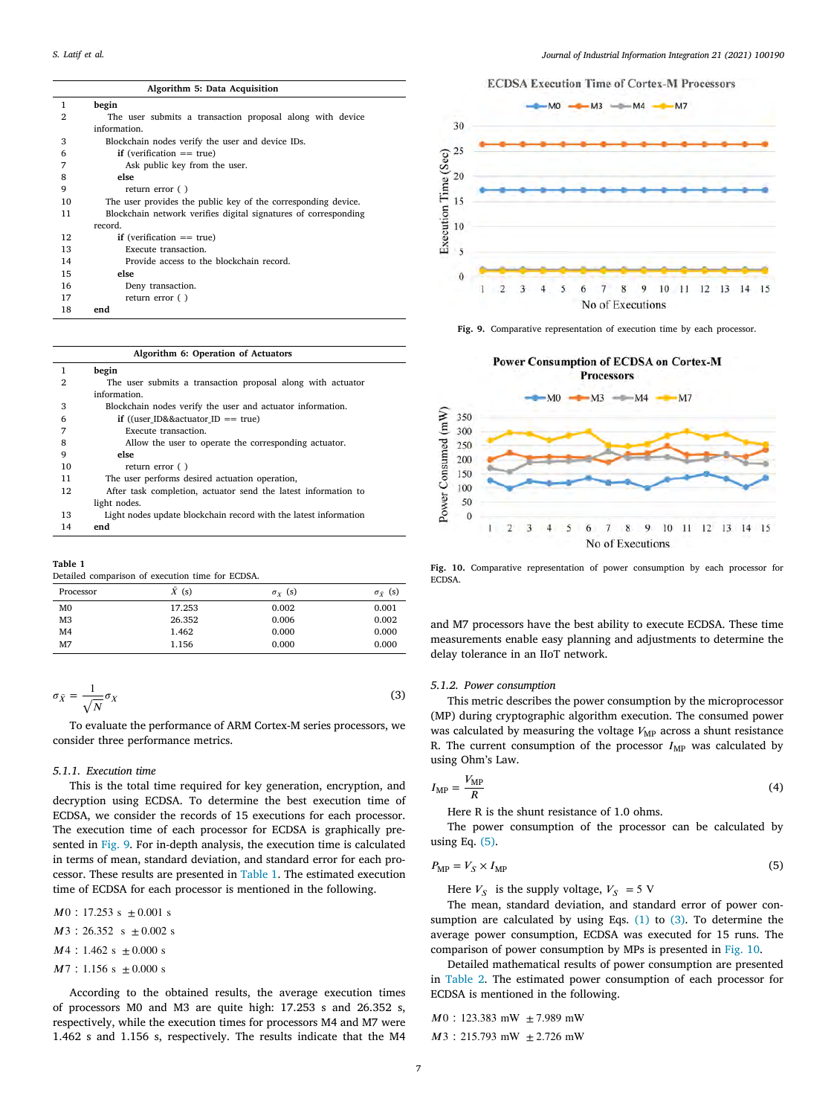| <b>ECDSA Execution Time of Cortex-M Processors</b> |  |  |  |
|----------------------------------------------------|--|--|--|
|----------------------------------------------------|--|--|--|

| begin<br>1<br>2<br>The user submits a transaction proposal along with device<br>information.<br>3<br>Blockchain nodes verify the user and device IDs.<br>if (verification $==$ true)<br>6<br>7<br>Ask public key from the user.<br>else<br>8<br>9<br>return error $( )$<br>The user provides the public key of the corresponding device.<br>10<br>Blockchain network verifies digital signatures of corresponding<br>11<br>record.<br>12<br>if (verification $==$ true)<br>13<br>Execute transaction.<br>Provide access to the blockchain record.<br>14<br>15<br>else<br>16<br>Deny transaction.<br>17<br>return error $( )$ |    | Algoriumi 3. Data Acquisition |
|------------------------------------------------------------------------------------------------------------------------------------------------------------------------------------------------------------------------------------------------------------------------------------------------------------------------------------------------------------------------------------------------------------------------------------------------------------------------------------------------------------------------------------------------------------------------------------------------------------------------------|----|-------------------------------|
|                                                                                                                                                                                                                                                                                                                                                                                                                                                                                                                                                                                                                              |    |                               |
|                                                                                                                                                                                                                                                                                                                                                                                                                                                                                                                                                                                                                              |    |                               |
|                                                                                                                                                                                                                                                                                                                                                                                                                                                                                                                                                                                                                              |    |                               |
|                                                                                                                                                                                                                                                                                                                                                                                                                                                                                                                                                                                                                              |    |                               |
|                                                                                                                                                                                                                                                                                                                                                                                                                                                                                                                                                                                                                              |    |                               |
|                                                                                                                                                                                                                                                                                                                                                                                                                                                                                                                                                                                                                              |    |                               |
|                                                                                                                                                                                                                                                                                                                                                                                                                                                                                                                                                                                                                              |    |                               |
|                                                                                                                                                                                                                                                                                                                                                                                                                                                                                                                                                                                                                              |    |                               |
|                                                                                                                                                                                                                                                                                                                                                                                                                                                                                                                                                                                                                              |    |                               |
|                                                                                                                                                                                                                                                                                                                                                                                                                                                                                                                                                                                                                              |    |                               |
|                                                                                                                                                                                                                                                                                                                                                                                                                                                                                                                                                                                                                              |    |                               |
|                                                                                                                                                                                                                                                                                                                                                                                                                                                                                                                                                                                                                              |    |                               |
|                                                                                                                                                                                                                                                                                                                                                                                                                                                                                                                                                                                                                              |    |                               |
|                                                                                                                                                                                                                                                                                                                                                                                                                                                                                                                                                                                                                              |    |                               |
|                                                                                                                                                                                                                                                                                                                                                                                                                                                                                                                                                                                                                              |    |                               |
|                                                                                                                                                                                                                                                                                                                                                                                                                                                                                                                                                                                                                              |    |                               |
|                                                                                                                                                                                                                                                                                                                                                                                                                                                                                                                                                                                                                              |    |                               |
|                                                                                                                                                                                                                                                                                                                                                                                                                                                                                                                                                                                                                              | 18 | end                           |

**Algorithm 5: Data Acquisition**

#### **Algorithm 6: Operation of Actuators**

|                | begin                                                            |
|----------------|------------------------------------------------------------------|
| $\overline{2}$ | The user submits a transaction proposal along with actuator      |
|                | information.                                                     |
| 3              | Blockchain nodes verify the user and actuator information.       |
| 6              | if ((user ID&&actuator ID == true)                               |
|                | Execute transaction.                                             |
| 8              | Allow the user to operate the corresponding actuator.            |
| 9              | else                                                             |
| 10             | return error ()                                                  |
| 11             | The user performs desired actuation operation,                   |
| 12             | After task completion, actuator send the latest information to   |
|                | light nodes.                                                     |
| 13             | Light nodes update blockchain record with the latest information |
| 14             | end                                                              |

**Table 1**

<span id="page-6-2"></span>Detailed comparison of execution time for ECDSA.

| Processor      | $\bar{X}(s)$ | $\sigma_Y$ (s) | $\sigma_{\bar{Y}}$ (s) |
|----------------|--------------|----------------|------------------------|
| M <sub>0</sub> | 17.253       | 0.002          | 0.001                  |
| M <sub>3</sub> | 26.352       | 0.006          | 0.002                  |
| M <sub>4</sub> | 1.462        | 0.000          | 0.000                  |
| M <sub>7</sub> | 1.156        | 0.000          | 0.000                  |
|                |              |                |                        |

$$
\sigma_{\bar{X}} = \frac{1}{\sqrt{N}} \sigma_X \tag{3}
$$

To evaluate the performance of ARM Cortex-M series processors, we consider three performance metrics.

# *5.1.1. Execution time*

This is the total time required for key generation, encryption, and decryption using ECDSA. To determine the best execution time of ECDSA, we consider the records of 15 executions for each processor. The execution time of each processor for ECDSA is graphically presented in [Fig. 9](#page-6-1). For in-depth analysis, the execution time is calculated in terms of mean, standard deviation, and standard error for each processor. These results are presented in [Table 1.](#page-6-2) The estimated execution time of ECDSA for each processor is mentioned in the following.

 $M0$ : 17.253 s  $\pm 0.001$  s

 $M3$  : 26.352 s  $\pm$  0.002 s

- $M4$  : 1.462 s  $\pm$  0.000 s
- $M7$  : 1.156 s  $\pm$  0.000 s

According to the obtained results, the average execution times of processors M0 and M3 are quite high: 17.253 s and 26.352 s, respectively, while the execution times for processors M4 and M7 were 1.462 s and 1.156 s, respectively. The results indicate that the M4



<span id="page-6-1"></span>**Fig. 9.** Comparative representation of execution time by each processor.



<span id="page-6-4"></span>**Fig. 10.** Comparative representation of power consumption by each processor for **ECDSA** 

and M7 processors have the best ability to execute ECDSA. These time measurements enable easy planning and adjustments to determine the delay tolerance in an IIoT network.

# <span id="page-6-0"></span>*5.1.2. Power consumption*

This metric describes the power consumption by the microprocessor (MP) during cryptographic algorithm execution. The consumed power was calculated by measuring the voltage  $V_{MP}$  across a shunt resistance R. The current consumption of the processor  $I_{MP}$  was calculated by using Ohm's Law.

$$
I_{\rm MP} = \frac{V_{\rm MP}}{R} \tag{4}
$$

<span id="page-6-3"></span>Here R is the shunt resistance of 1.0 ohms.

The power consumption of the processor can be calculated by using Eq. ([5](#page-6-3)).

$$
P_{\rm MP} = V_S \times I_{\rm MP} \tag{5}
$$

Here  $V_s$  is the supply voltage,  $V_s = 5$  V

The mean, standard deviation, and standard error of power consumption are calculated by using Eqs.  $(1)$  $(1)$  $(1)$  to  $(3)$ . To determine the average power consumption, ECDSA was executed for 15 runs. The comparison of power consumption by MPs is presented in [Fig. 10.](#page-6-4)

Detailed mathematical results of power consumption are presented in [Table 2.](#page-7-0) The estimated power consumption of each processor for ECDSA is mentioned in the following.

$$
M0:123.383 \text{ mW } \pm 7.989 \text{ mW}
$$

3 ∶ 215*.*793 mW ± 2*.*726 mW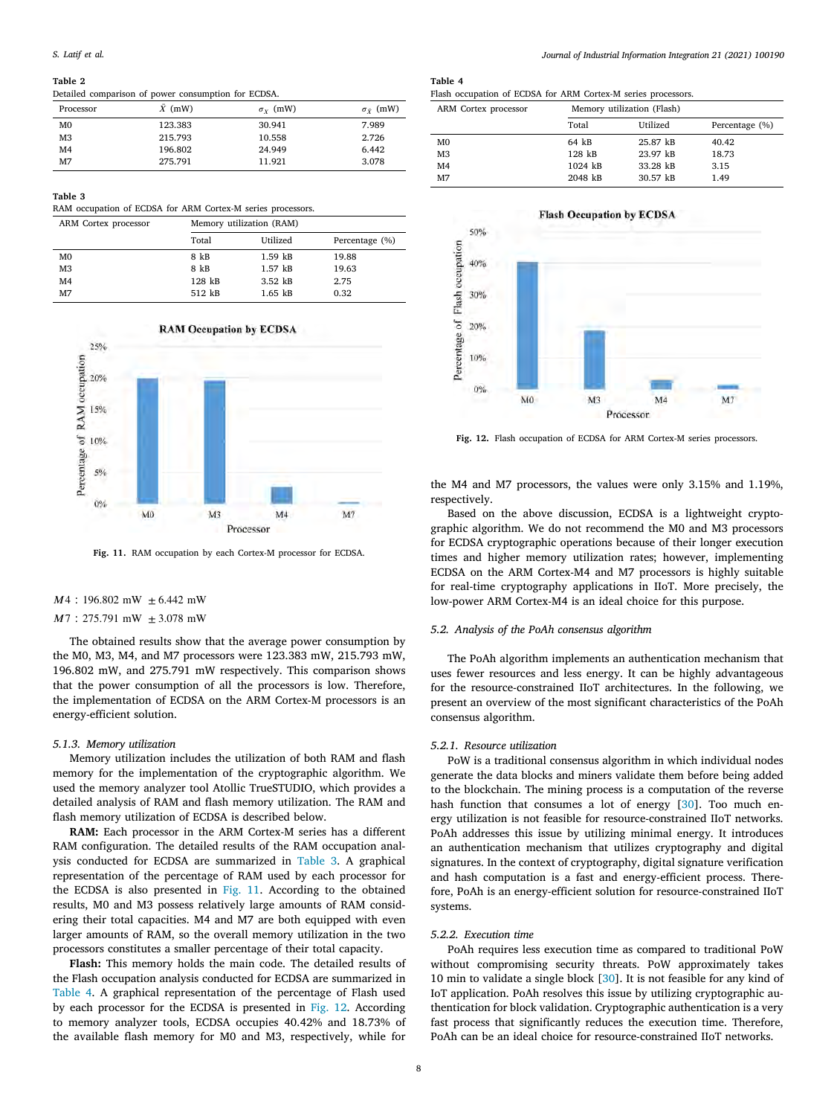### **Table 2**

<span id="page-7-0"></span>Detailed comparison of power consumption for ECDSA.

| Processor      | $\bar{X}$ (mW) | $\sigma_Y$ (mW) | $\sigma_{\bar{Y}}$ (mW) |
|----------------|----------------|-----------------|-------------------------|
| M <sub>0</sub> | 123.383        | 30.941          | 7.989                   |
| M <sub>3</sub> | 215.793        | 10.558          | 2.726                   |
| M <sub>4</sub> | 196.802        | 24.949          | 6.442                   |
| M7             | 275.791        | 11.921          | 3.078                   |

**Table 3**

<span id="page-7-1"></span>RAM occupation of ECDSA for ARM Cortex-M series processors.

| ARM Cortex processor | Memory utilization (RAM) |             |                |  |
|----------------------|--------------------------|-------------|----------------|--|
|                      | Total                    | Utilized    | Percentage (%) |  |
| M <sub>0</sub>       | 8 kB                     | $1.59$ kB   | 19.88          |  |
| M <sub>3</sub>       | 8 kB                     | $1.57$ $kB$ | 19.63          |  |
| M <sub>4</sub>       | 128 kB                   | $3.52$ $kB$ | 2.75           |  |
| M7                   | 512 kB                   | $1.65$ $kB$ | 0.32           |  |





<span id="page-7-2"></span>**Fig. 11.** RAM occupation by each Cortex-M processor for ECDSA.

# 4 ∶ 196*.*802 mW ± 6*.*442 mW

7 ∶ 275*.*791 mW ± 3*.*078 mW

The obtained results show that the average power consumption by the M0, M3, M4, and M7 processors were 123.383 mW, 215.793 mW, 196.802 mW, and 275.791 mW respectively. This comparison shows that the power consumption of all the processors is low. Therefore, the implementation of ECDSA on the ARM Cortex-M processors is an energy-efficient solution.

# *5.1.3. Memory utilization*

Memory utilization includes the utilization of both RAM and flash memory for the implementation of the cryptographic algorithm. We used the memory analyzer tool Atollic TrueSTUDIO, which provides a detailed analysis of RAM and flash memory utilization. The RAM and flash memory utilization of ECDSA is described below.

**RAM:** Each processor in the ARM Cortex-M series has a different RAM configuration. The detailed results of the RAM occupation analysis conducted for ECDSA are summarized in [Table 3.](#page-7-1) A graphical representation of the percentage of RAM used by each processor for the ECDSA is also presented in [Fig. 11](#page-7-2). According to the obtained results, M0 and M3 possess relatively large amounts of RAM considering their total capacities. M4 and M7 are both equipped with even larger amounts of RAM, so the overall memory utilization in the two processors constitutes a smaller percentage of their total capacity.

**Flash:** This memory holds the main code. The detailed results of the Flash occupation analysis conducted for ECDSA are summarized in [Table 4](#page-7-3). A graphical representation of the percentage of Flash used by each processor for the ECDSA is presented in [Fig. 12.](#page-7-4) According to memory analyzer tools, ECDSA occupies 40.42% and 18.73% of the available flash memory for M0 and M3, respectively, while for

## **Table 4**

<span id="page-7-3"></span>

| Flash occupation of ECDSA for ARM Cortex-M series processors. |  |  |  |  |
|---------------------------------------------------------------|--|--|--|--|
|---------------------------------------------------------------|--|--|--|--|

| ARM Cortex processor | Memory utilization (Flash) |          |                |  |
|----------------------|----------------------------|----------|----------------|--|
|                      | Total                      | Utilized | Percentage (%) |  |
| M <sub>0</sub>       | 64 kB                      | 25.87 kB | 40.42          |  |
| M3                   | 128 kB                     | 23.97 kB | 18.73          |  |
| M4                   | 1024 kB                    | 33.28 kB | 3.15           |  |
| M7                   | 2048 kB                    | 30.57 kB | 1.49           |  |



<span id="page-7-4"></span>**Fig. 12.** Flash occupation of ECDSA for ARM Cortex-M series processors.

the M4 and M7 processors, the values were only 3.15% and 1.19%, respectively.

Based on the above discussion, ECDSA is a lightweight cryptographic algorithm. We do not recommend the M0 and M3 processors for ECDSA cryptographic operations because of their longer execution times and higher memory utilization rates; however, implementing ECDSA on the ARM Cortex-M4 and M7 processors is highly suitable for real-time cryptography applications in IIoT. More precisely, the low-power ARM Cortex-M4 is an ideal choice for this purpose.

# *5.2. Analysis of the PoAh consensus algorithm*

The PoAh algorithm implements an authentication mechanism that uses fewer resources and less energy. It can be highly advantageous for the resource-constrained IIoT architectures. In the following, we present an overview of the most significant characteristics of the PoAh consensus algorithm.

#### *5.2.1. Resource utilization*

PoW is a traditional consensus algorithm in which individual nodes generate the data blocks and miners validate them before being added to the blockchain. The mining process is a computation of the reverse hash function that consumes a lot of energy [[30](#page-11-30)]. Too much energy utilization is not feasible for resource-constrained IIoT networks. PoAh addresses this issue by utilizing minimal energy. It introduces an authentication mechanism that utilizes cryptography and digital signatures. In the context of cryptography, digital signature verification and hash computation is a fast and energy-efficient process. Therefore, PoAh is an energy-efficient solution for resource-constrained IIoT systems.

## *5.2.2. Execution time*

PoAh requires less execution time as compared to traditional PoW without compromising security threats. PoW approximately takes 10 min to validate a single block [[30\]](#page-11-30). It is not feasible for any kind of IoT application. PoAh resolves this issue by utilizing cryptographic authentication for block validation. Cryptographic authentication is a very fast process that significantly reduces the execution time. Therefore, PoAh can be an ideal choice for resource-constrained IIoT networks.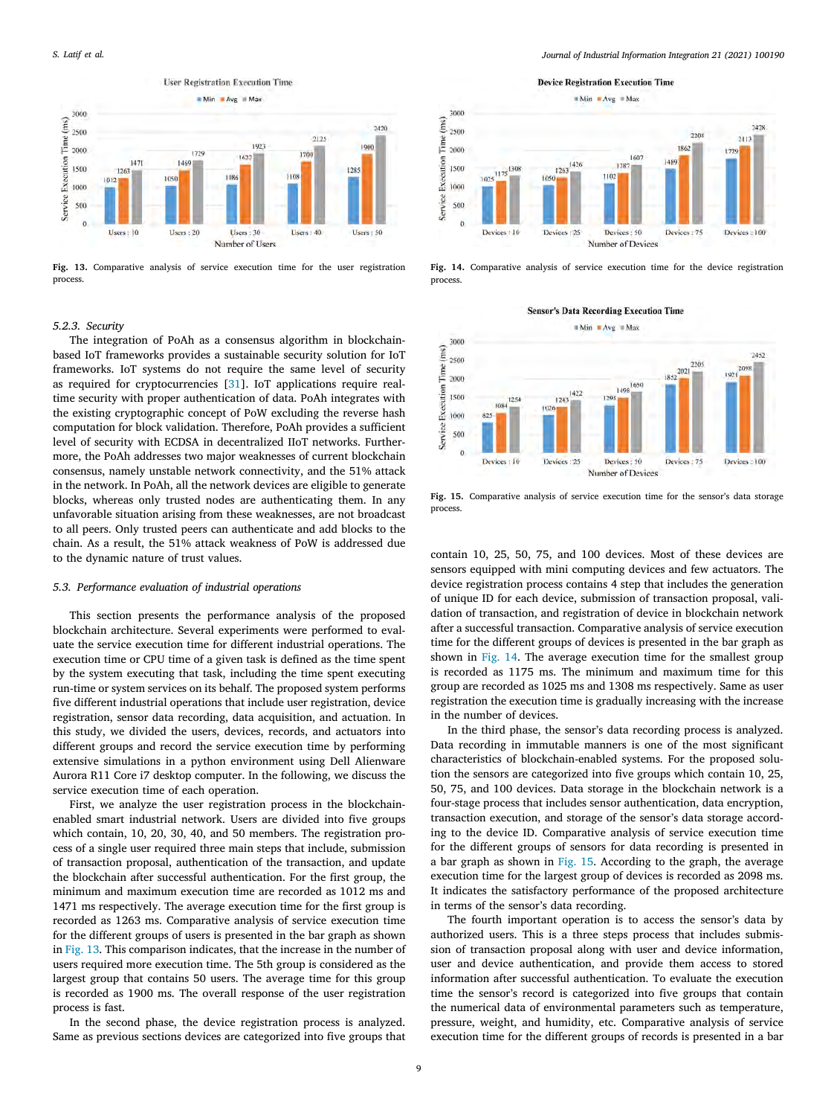

<span id="page-8-0"></span>**Fig. 13.** Comparative analysis of service execution time for the user registration process.

### *5.2.3. Security*

The integration of PoAh as a consensus algorithm in blockchainbased IoT frameworks provides a sustainable security solution for IoT frameworks. IoT systems do not require the same level of security as required for cryptocurrencies [[31\]](#page-11-31). IoT applications require realtime security with proper authentication of data. PoAh integrates with the existing cryptographic concept of PoW excluding the reverse hash computation for block validation. Therefore, PoAh provides a sufficient level of security with ECDSA in decentralized IIoT networks. Furthermore, the PoAh addresses two major weaknesses of current blockchain consensus, namely unstable network connectivity, and the 51% attack in the network. In PoAh, all the network devices are eligible to generate blocks, whereas only trusted nodes are authenticating them. In any unfavorable situation arising from these weaknesses, are not broadcast to all peers. Only trusted peers can authenticate and add blocks to the chain. As a result, the 51% attack weakness of PoW is addressed due to the dynamic nature of trust values.

# *5.3. Performance evaluation of industrial operations*

This section presents the performance analysis of the proposed blockchain architecture. Several experiments were performed to evaluate the service execution time for different industrial operations. The execution time or CPU time of a given task is defined as the time spent by the system executing that task, including the time spent executing run-time or system services on its behalf. The proposed system performs five different industrial operations that include user registration, device registration, sensor data recording, data acquisition, and actuation. In this study, we divided the users, devices, records, and actuators into different groups and record the service execution time by performing extensive simulations in a python environment using Dell Alienware Aurora R11 Core i7 desktop computer. In the following, we discuss the service execution time of each operation.

First, we analyze the user registration process in the blockchainenabled smart industrial network. Users are divided into five groups which contain, 10, 20, 30, 40, and 50 members. The registration process of a single user required three main steps that include, submission of transaction proposal, authentication of the transaction, and update the blockchain after successful authentication. For the first group, the minimum and maximum execution time are recorded as 1012 ms and 1471 ms respectively. The average execution time for the first group is recorded as 1263 ms. Comparative analysis of service execution time for the different groups of users is presented in the bar graph as shown in [Fig. 13.](#page-8-0) This comparison indicates, that the increase in the number of users required more execution time. The 5th group is considered as the largest group that contains 50 users. The average time for this group is recorded as 1900 ms. The overall response of the user registration process is fast.

In the second phase, the device registration process is analyzed. Same as previous sections devices are categorized into five groups that *Journal of Industrial Information Integration 21 (2021) 100190*



<span id="page-8-1"></span>**Fig. 14.** Comparative analysis of service execution time for the device registration process.

**Sensor's Data Recording Execution Time** 



<span id="page-8-2"></span>**Fig. 15.** Comparative analysis of service execution time for the sensor's data storage process.

contain 10, 25, 50, 75, and 100 devices. Most of these devices are sensors equipped with mini computing devices and few actuators. The device registration process contains 4 step that includes the generation of unique ID for each device, submission of transaction proposal, validation of transaction, and registration of device in blockchain network after a successful transaction. Comparative analysis of service execution time for the different groups of devices is presented in the bar graph as shown in [Fig. 14](#page-8-1). The average execution time for the smallest group is recorded as 1175 ms. The minimum and maximum time for this group are recorded as 1025 ms and 1308 ms respectively. Same as user registration the execution time is gradually increasing with the increase in the number of devices.

In the third phase, the sensor's data recording process is analyzed. Data recording in immutable manners is one of the most significant characteristics of blockchain-enabled systems. For the proposed solution the sensors are categorized into five groups which contain 10, 25, 50, 75, and 100 devices. Data storage in the blockchain network is a four-stage process that includes sensor authentication, data encryption, transaction execution, and storage of the sensor's data storage according to the device ID. Comparative analysis of service execution time for the different groups of sensors for data recording is presented in a bar graph as shown in [Fig. 15](#page-8-2). According to the graph, the average execution time for the largest group of devices is recorded as 2098 ms. It indicates the satisfactory performance of the proposed architecture in terms of the sensor's data recording.

The fourth important operation is to access the sensor's data by authorized users. This is a three steps process that includes submission of transaction proposal along with user and device information, user and device authentication, and provide them access to stored information after successful authentication. To evaluate the execution time the sensor's record is categorized into five groups that contain the numerical data of environmental parameters such as temperature, pressure, weight, and humidity, etc. Comparative analysis of service execution time for the different groups of records is presented in a bar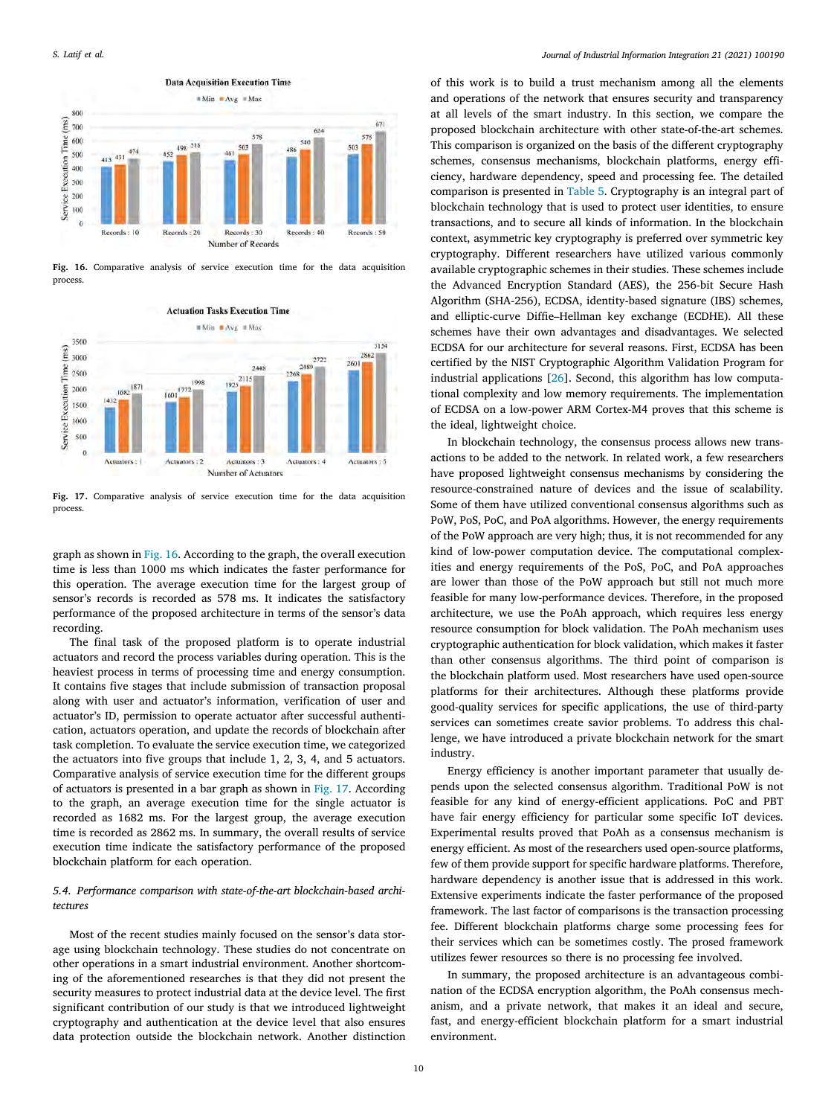

<span id="page-9-0"></span>**Fig. 16.** Comparative analysis of service execution time for the data acquisition process.



<span id="page-9-1"></span>**Fig. 17.** Comparative analysis of service execution time for the data acquisition process.

graph as shown in [Fig. 16.](#page-9-0) According to the graph, the overall execution time is less than 1000 ms which indicates the faster performance for this operation. The average execution time for the largest group of sensor's records is recorded as 578 ms. It indicates the satisfactory performance of the proposed architecture in terms of the sensor's data recording.

The final task of the proposed platform is to operate industrial actuators and record the process variables during operation. This is the heaviest process in terms of processing time and energy consumption. It contains five stages that include submission of transaction proposal along with user and actuator's information, verification of user and actuator's ID, permission to operate actuator after successful authentication, actuators operation, and update the records of blockchain after task completion. To evaluate the service execution time, we categorized the actuators into five groups that include 1, 2, 3, 4, and 5 actuators. Comparative analysis of service execution time for the different groups of actuators is presented in a bar graph as shown in [Fig. 17](#page-9-1). According to the graph, an average execution time for the single actuator is recorded as 1682 ms. For the largest group, the average execution time is recorded as 2862 ms. In summary, the overall results of service execution time indicate the satisfactory performance of the proposed blockchain platform for each operation.

# *5.4. Performance comparison with state-of-the-art blockchain-based architectures*

Most of the recent studies mainly focused on the sensor's data storage using blockchain technology. These studies do not concentrate on other operations in a smart industrial environment. Another shortcoming of the aforementioned researches is that they did not present the security measures to protect industrial data at the device level. The first significant contribution of our study is that we introduced lightweight cryptography and authentication at the device level that also ensures data protection outside the blockchain network. Another distinction

of this work is to build a trust mechanism among all the elements and operations of the network that ensures security and transparency at all levels of the smart industry. In this section, we compare the proposed blockchain architecture with other state-of-the-art schemes. This comparison is organized on the basis of the different cryptography schemes, consensus mechanisms, blockchain platforms, energy efficiency, hardware dependency, speed and processing fee. The detailed comparison is presented in [Table 5](#page-10-1). Cryptography is an integral part of blockchain technology that is used to protect user identities, to ensure transactions, and to secure all kinds of information. In the blockchain context, asymmetric key cryptography is preferred over symmetric key cryptography. Different researchers have utilized various commonly available cryptographic schemes in their studies. These schemes include the Advanced Encryption Standard (AES), the 256-bit Secure Hash Algorithm (SHA-256), ECDSA, identity-based signature (IBS) schemes, and elliptic-curve Diffie–Hellman key exchange (ECDHE). All these schemes have their own advantages and disadvantages. We selected ECDSA for our architecture for several reasons. First, ECDSA has been certified by the NIST Cryptographic Algorithm Validation Program for industrial applications [\[26](#page-11-26)]. Second, this algorithm has low computational complexity and low memory requirements. The implementation of ECDSA on a low-power ARM Cortex-M4 proves that this scheme is the ideal, lightweight choice.

In blockchain technology, the consensus process allows new transactions to be added to the network. In related work, a few researchers have proposed lightweight consensus mechanisms by considering the resource-constrained nature of devices and the issue of scalability. Some of them have utilized conventional consensus algorithms such as PoW, PoS, PoC, and PoA algorithms. However, the energy requirements of the PoW approach are very high; thus, it is not recommended for any kind of low-power computation device. The computational complexities and energy requirements of the PoS, PoC, and PoA approaches are lower than those of the PoW approach but still not much more feasible for many low-performance devices. Therefore, in the proposed architecture, we use the PoAh approach, which requires less energy resource consumption for block validation. The PoAh mechanism uses cryptographic authentication for block validation, which makes it faster than other consensus algorithms. The third point of comparison is the blockchain platform used. Most researchers have used open-source platforms for their architectures. Although these platforms provide good-quality services for specific applications, the use of third-party services can sometimes create savior problems. To address this challenge, we have introduced a private blockchain network for the smart industry.

Energy efficiency is another important parameter that usually depends upon the selected consensus algorithm. Traditional PoW is not feasible for any kind of energy-efficient applications. PoC and PBT have fair energy efficiency for particular some specific IoT devices. Experimental results proved that PoAh as a consensus mechanism is energy efficient. As most of the researchers used open-source platforms, few of them provide support for specific hardware platforms. Therefore, hardware dependency is another issue that is addressed in this work. Extensive experiments indicate the faster performance of the proposed framework. The last factor of comparisons is the transaction processing fee. Different blockchain platforms charge some processing fees for their services which can be sometimes costly. The prosed framework utilizes fewer resources so there is no processing fee involved.

In summary, the proposed architecture is an advantageous combination of the ECDSA encryption algorithm, the PoAh consensus mechanism, and a private network, that makes it an ideal and secure, fast, and energy-efficient blockchain platform for a smart industrial environment.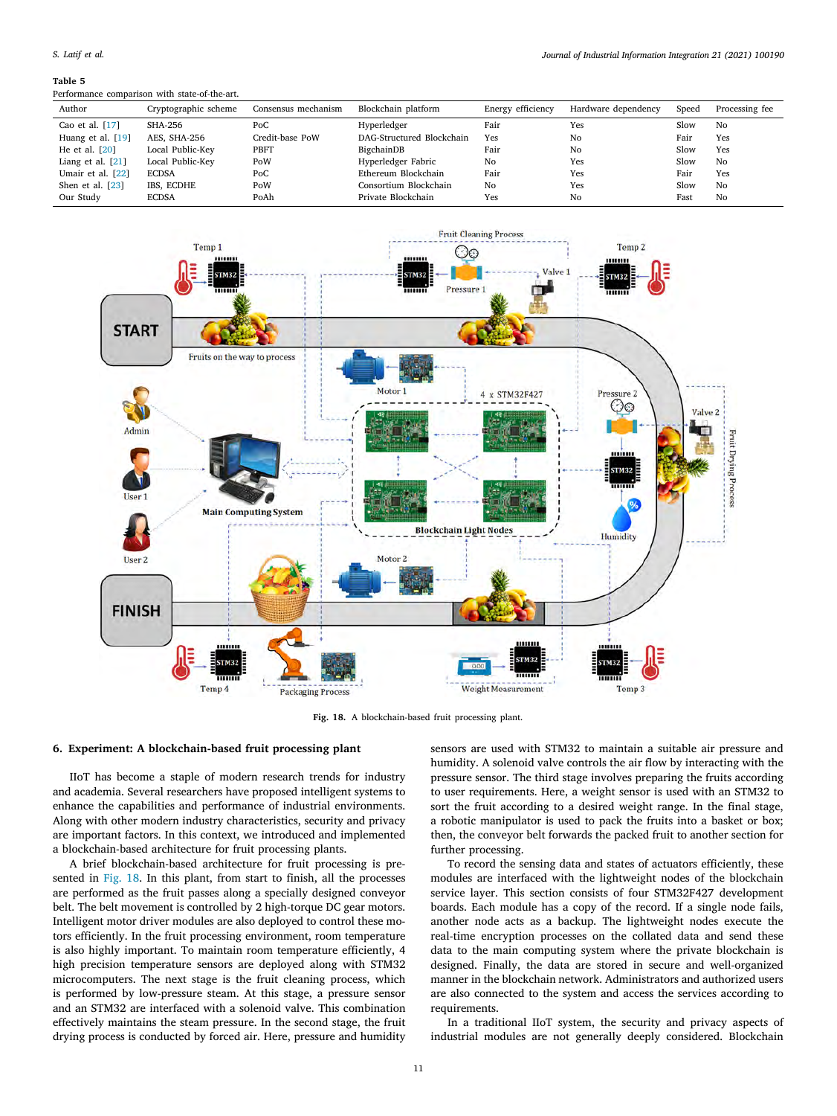### <span id="page-10-1"></span>Performance comparison with state-of-the-art.

| Author              | Cryptographic scheme | Consensus mechanism | Blockchain platform       | Energy efficiency | Hardware dependency | Speed | Processing fee |
|---------------------|----------------------|---------------------|---------------------------|-------------------|---------------------|-------|----------------|
| Cao et al. $[17]$   | SHA-256              | PoC                 | Hyperledger               | Fair              | Yes                 | Slow  | No             |
| Huang et al. [19]   | AES, SHA-256         | Credit-base PoW     | DAG-Structured Blockchain | Yes               | No                  | Fair  | Yes            |
| He et al. $[20]$    | Local Public-Key     | PBFT                | BigchainDB                | Fair              | No                  | Slow  | Yes            |
| Liang et al. $[21]$ | Local Public-Key     | PoW                 | Hyperledger Fabric        | No                | Yes                 | Slow  | No             |
| Umair et al. $[22]$ | <b>ECDSA</b>         | PoC                 | Ethereum Blockchain       | Fair              | Yes                 | Fair  | Yes            |
| Shen et al. [23]    | IBS. ECDHE           | PoW                 | Consortium Blockchain     | No                | Yes                 | Slow  | No             |
| Our Study           | <b>ECDSA</b>         | PoAh                | Private Blockchain        | Yes               | No                  | Fast  | No             |



**Fig. 18.** A blockchain-based fruit processing plant.

# <span id="page-10-2"></span>**6. Experiment: A blockchain-based fruit processing plant**

<span id="page-10-0"></span>IIoT has become a staple of modern research trends for industry and academia. Several researchers have proposed intelligent systems to enhance the capabilities and performance of industrial environments. Along with other modern industry characteristics, security and privacy are important factors. In this context, we introduced and implemented a blockchain-based architecture for fruit processing plants.

A brief blockchain-based architecture for fruit processing is presented in [Fig. 18](#page-10-2). In this plant, from start to finish, all the processes are performed as the fruit passes along a specially designed conveyor belt. The belt movement is controlled by 2 high-torque DC gear motors. Intelligent motor driver modules are also deployed to control these motors efficiently. In the fruit processing environment, room temperature is also highly important. To maintain room temperature efficiently, 4 high precision temperature sensors are deployed along with STM32 microcomputers. The next stage is the fruit cleaning process, which is performed by low-pressure steam. At this stage, a pressure sensor and an STM32 are interfaced with a solenoid valve. This combination effectively maintains the steam pressure. In the second stage, the fruit drying process is conducted by forced air. Here, pressure and humidity

sensors are used with STM32 to maintain a suitable air pressure and humidity. A solenoid valve controls the air flow by interacting with the pressure sensor. The third stage involves preparing the fruits according to user requirements. Here, a weight sensor is used with an STM32 to sort the fruit according to a desired weight range. In the final stage, a robotic manipulator is used to pack the fruits into a basket or box; then, the conveyor belt forwards the packed fruit to another section for further processing.

To record the sensing data and states of actuators efficiently, these modules are interfaced with the lightweight nodes of the blockchain service layer. This section consists of four STM32F427 development boards. Each module has a copy of the record. If a single node fails, another node acts as a backup. The lightweight nodes execute the real-time encryption processes on the collated data and send these data to the main computing system where the private blockchain is designed. Finally, the data are stored in secure and well-organized manner in the blockchain network. Administrators and authorized users are also connected to the system and access the services according to requirements.

In a traditional IIoT system, the security and privacy aspects of industrial modules are not generally deeply considered. Blockchain